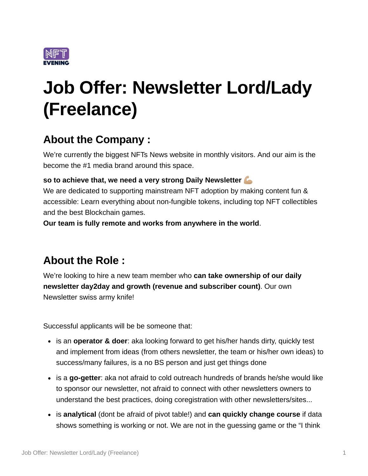

# **Job Offer: Newsletter Lord/Lady (Freelance)**

## **About the Company :**

We're currently the biggest NFTs News website in monthly visitors. And our aim is the become the #1 media brand around this space.

#### **so to achieve that, we need a very strong Daily Newsletter**

We are dedicated to supporting mainstream NFT adoption by making content fun & accessible: Learn everything about non-fungible tokens, including top NFT collectibles and the best Blockchain games.

**Our team is fully remote and works from anywhere in the world**.

## **About the Role :**

We're looking to hire a new team member who **can take ownership of our daily newsletter day2day and growth (revenue and subscriber count)**. Our own Newsletter swiss army knife!

Successful applicants will be be someone that:

- is an **operator & doer**: aka looking forward to get his/her hands dirty, quickly test and implement from ideas (from others newsletter, the team or his/her own ideas) to success/many failures, is a no BS person and just get things done
- is a **go-getter**: aka not afraid to cold outreach hundreds of brands he/she would like to sponsor our newsletter, not afraid to connect with other newsletters owners to understand the best practices, doing coregistration with other newsletters/sites...
- is **analytical** (dont be afraid of pivot table!) and **can quickly change course** if data shows something is working or not. We are not in the guessing game or the "I think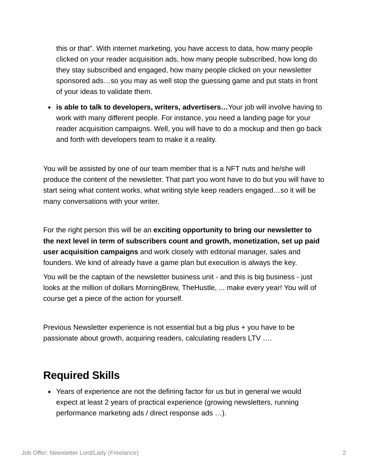this or that". With internet marketing, you have access to data, how many people clicked on your reader acquisition ads, how many people subscribed, how long do they stay subscribed and engaged, how many people clicked on your newsletter sponsored ads…so you may as well stop the guessing game and put stats in front of your ideas to validate them.

**is able to talk to developers, writers, advertisers…**Your job will involve having to work with many different people. For instance, you need a landing page for your reader acquisition campaigns. Well, you will have to do a mockup and then go back and forth with developers team to make it a reality.

You will be assisted by one of our team member that is a NFT nuts and he/she will produce the content of the newsletter. That part you wont have to do but you will have to start seing what content works, what writing style keep readers engaged…so it will be many conversations with your writer.

For the right person this will be an **exciting opportunity to bring our newsletter to the next level in term of subscribers count and growth, monetization, set up paid user acquisition campaigns** and work closely with editorial manager, sales and founders. We kind of already have a game plan but execution is always the key.

You will be the captain of the newsletter business unit - and this is big business - just looks at the million of dollars MorningBrew, TheHustle, ... make every year! You will of course get a piece of the action for yourself.

Previous Newsletter experience is not essential but a big plus + you have to be passionate about growth, acquiring readers, calculating readers LTV ….

## **Required Skills**

Years of experience are not the defining factor for us but in general we would expect at least 2 years of practical experience (growing newsletters, running performance marketing ads / direct response ads …).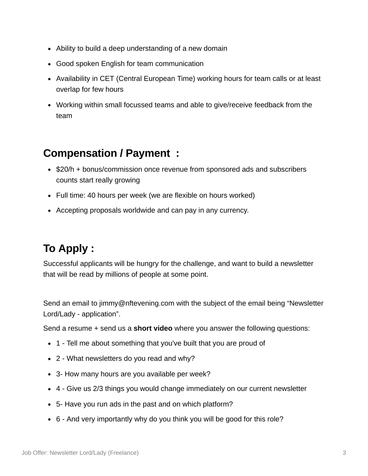- Ability to build a deep understanding of a new domain
- Good spoken English for team communication
- Availability in CET (Central European Time) working hours for team calls or at least overlap for few hours
- Working within small focussed teams and able to give/receive feedback from the team

#### **Compensation / Payment :**

- $\bullet$  \$20/h + bonus/commission once revenue from sponsored ads and subscribers counts start really growing
- Full time: 40 hours per week (we are flexible on hours worked)
- Accepting proposals worldwide and can pay in any currency.

## **To Apply :**

Successful applicants will be hungry for the challenge, and want to build a newsletter that will be read by millions of people at some point.

Send an email to [j](mailto:jimmy@bro-media.net)immy@nftevening.com with the subject of the email being "Newsletter Lord/Lady - application".

Send a resume + send us a **short video** where you answer the following questions:

- 1 Tell me about something that you've built that you are proud of
- 2 What newsletters do you read and why?
- 3- How many hours are you available per week?
- 4 Give us 2/3 things you would change immediately on our current newsletter
- 5- Have you run ads in the past and on which platform?
- 6 And very importantly why do you think you will be good for this role?